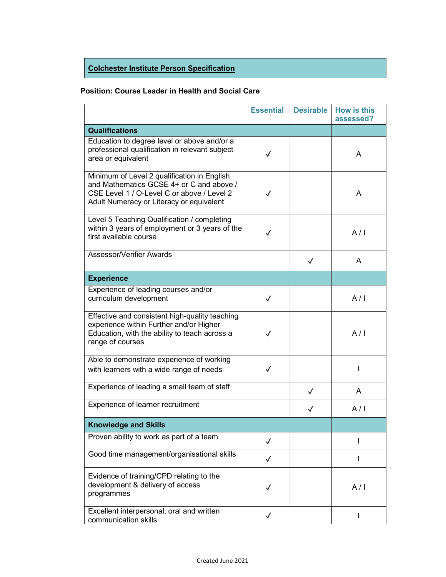## Colchester Institute Person Specification

## Position: Course Leader in Health and Social Care

|                                                                                                                                                                                   | <b>Essential</b> | <b>Desirable</b> | <b>How is this</b><br>assessed? |
|-----------------------------------------------------------------------------------------------------------------------------------------------------------------------------------|------------------|------------------|---------------------------------|
| <b>Qualifications</b>                                                                                                                                                             |                  |                  |                                 |
| Education to degree level or above and/or a<br>professional qualification in relevant subject<br>area or equivalent                                                               | $\checkmark$     |                  | A                               |
| Minimum of Level 2 qualification in English<br>and Mathematics GCSE 4+ or C and above /<br>CSE Level 1 / O-Level C or above / Level 2<br>Adult Numeracy or Literacy or equivalent | $\checkmark$     |                  | A                               |
| Level 5 Teaching Qualification / completing<br>within 3 years of employment or 3 years of the<br>first available course                                                           | $\checkmark$     |                  | A/I                             |
| Assessor/Verifier Awards                                                                                                                                                          |                  | $\checkmark$     | A                               |
| <b>Experience</b>                                                                                                                                                                 |                  |                  |                                 |
| Experience of leading courses and/or<br>curriculum development                                                                                                                    | $\checkmark$     |                  | A/I                             |
| Effective and consistent high-quality teaching<br>experience within Further and/or Higher<br>Education, with the ability to teach across a<br>range of courses                    | $\checkmark$     |                  | A/I                             |
| Able to demonstrate experience of working<br>with learners with a wide range of needs                                                                                             | $\checkmark$     |                  |                                 |
| Experience of leading a small team of staff                                                                                                                                       |                  | $\checkmark$     | A                               |
| Experience of learner recruitment                                                                                                                                                 |                  | $\checkmark$     | A/I                             |
| <b>Knowledge and Skills</b>                                                                                                                                                       |                  |                  |                                 |
| Proven ability to work as part of a team                                                                                                                                          | $\checkmark$     |                  |                                 |
| Good time management/organisational skills                                                                                                                                        | $\checkmark$     |                  | I                               |
| Evidence of training/CPD relating to the<br>development & delivery of access<br>programmes                                                                                        | $\checkmark$     |                  | A/I                             |
| Excellent interpersonal, oral and written<br>communication skills                                                                                                                 | ✓                |                  | L                               |